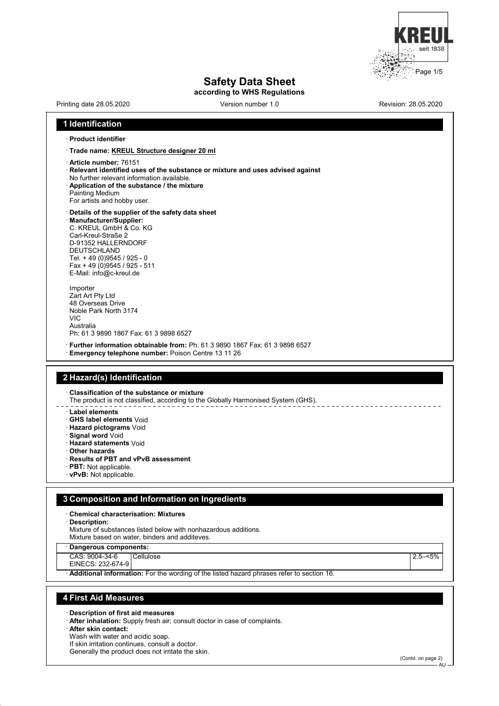

# **Safety Data Sheet**

**according to WHS Regulations**

# Printing date 28.05.2020 Version number 1.0 Revision: 28.05.2020 **1 Identification** · **Product identifier** · **Trade name: KREUL Structure designer 20 ml** · **Article number:** 76151 · **Relevant identified uses of the substance or mixture and uses advised against** No further relevant information available. · **Application of the substance / the mixture** Painting Medium For artists and hobby user. · **Details of the supplier of the safety data sheet** · **Manufacturer/Supplier:** C. KREUL GmbH & Co. KG Carl-Kreul-Straße 2 D-91352 HALLERNDORF DEUTSCHLAND Tel. + 49 (0)9545 / 925 - 0 Fax + 49 (0)9545 / 925 - 511 E-Mail: info@c-kreul.de Importer Zart Art Pty Ltd 48 Overseas Drive Noble Park North 3174 VIC Australia Ph: 61 3 9890 1867 Fax: 61 3 9898 6527 · **Further information obtainable from:** Ph: 61 3 9890 1867 Fax: 61 3 9898 6527 · **Emergency telephone number:** Poison Centre 13 11 26 **2 Hazard(s) Identification** · **Classification of the substance or mixture** The product is not classified, according to the Globally Harmonised System (GHS). · **Label elements** · **GHS label elements** Void · **Hazard pictograms** Void · **Signal word** Void · **Hazard statements** Void · **Other hazards** · **Results of PBT and vPvB assessment** · **PBT:** Not applicable. · **vPvB:** Not applicable. **3 Composition and Information on Ingredients** · **Chemical characterisation: Mixtures** · **Description:** Mixture of substances listed below with nonhazardous additions. Mixture based on water, binders and additeves. · **Dangerous components:** CAS: 9004-34-6 EINECS: 232-674-9 Cellulose 2.5–<5% · **Additional information:** For the wording of the listed hazard phrases refer to section 16. **4 First Aid Measures** · **Description of first aid measures** · **After inhalation:** Supply fresh air; consult doctor in case of complaints. · **After skin contact:** Wash with water and acidic soap.

If skin irritation continues, consult a doctor.

Generally the product does not irritate the skin.

(Contd. on page 2)

**AU**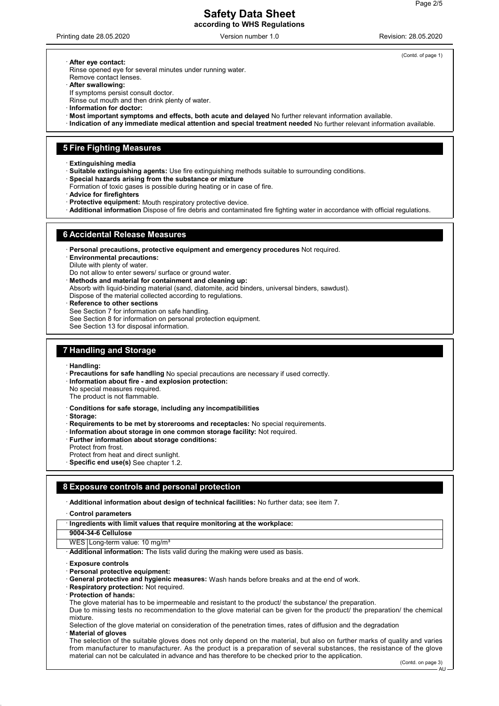Printing date 28.05.2020 Version number 1.0 Revision: 28.05.2020

(Contd. of page 1)

· **After eye contact:**

Rinse opened eye for several minutes under running water. Remove contact lenses.

· **After swallowing:**

If symptoms persist consult doctor.

Rinse out mouth and then drink plenty of water.

- · **Information for doctor:**
- · **Most important symptoms and effects, both acute and delayed** No further relevant information available.
- · **Indication of any immediate medical attention and special treatment needed** No further relevant information available.

# **5 Fire Fighting Measures**

· **Extinguishing media**

- · **Suitable extinguishing agents:** Use fire extinguishing methods suitable to surrounding conditions.
- · **Special hazards arising from the substance or mixture**
- Formation of toxic gases is possible during heating or in case of fire.
- · **Advice for firefighters**
- Protective equipment: Mouth respiratory protective device.
- · **Additional information** Dispose of fire debris and contaminated fire fighting water in accordance with official regulations.

### **6 Accidental Release Measures**

· **Personal precautions, protective equipment and emergency procedures** Not required.

· **Environmental precautions:**

Dilute with plenty of water.

Do not allow to enter sewers/ surface or ground water.

· **Methods and material for containment and cleaning up:**

- Absorb with liquid-binding material (sand, diatomite, acid binders, universal binders, sawdust).
- Dispose of the material collected according to regulations.
- **Reference to other sections**

See Section 7 for information on safe handling.

See Section 8 for information on personal protection equipment.

See Section 13 for disposal information.

# **7 Handling and Storage**

· **Handling:**

- · **Precautions for safe handling** No special precautions are necessary if used correctly.
- · **Information about fire and explosion protection:**
- No special measures required.
- The product is not flammable.
- · **Conditions for safe storage, including any incompatibilities**

· **Storage:**

- · **Requirements to be met by storerooms and receptacles:** No special requirements.
- · **Information about storage in one common storage facility:** Not required.
- · **Further information about storage conditions:**
- Protect from frost.
- Protect from heat and direct sunlight.
- · **Specific end use(s)** See chapter 1.2.

# **8 Exposure controls and personal protection**

· **Additional information about design of technical facilities:** No further data; see item 7.

· **Control parameters**

| · Ingredients with limit values that require monitoring at the workplace: |
|---------------------------------------------------------------------------|
|                                                                           |
|                                                                           |
|                                                                           |

**9004-34-6 Cellulose**

WES Long-term value: 10 mg/m<sup>3</sup>

· **Additional information:** The lists valid during the making were used as basis.

- · **Exposure controls**
- · **Personal protective equipment:**
- General protective and hygienic measures: Wash hands before breaks and at the end of work.
- **Respiratory protection: Not required.**
- · **Protection of hands:**
- The glove material has to be impermeable and resistant to the product/ the substance/ the preparation.

Due to missing tests no recommendation to the glove material can be given for the product/ the preparation/ the chemical mixture.

Selection of the glove material on consideration of the penetration times, rates of diffusion and the degradation · **Material of gloves**

The selection of the suitable gloves does not only depend on the material, but also on further marks of quality and varies from manufacturer to manufacturer. As the product is a preparation of several substances, the resistance of the glove material can not be calculated in advance and has therefore to be checked prior to the application.

AU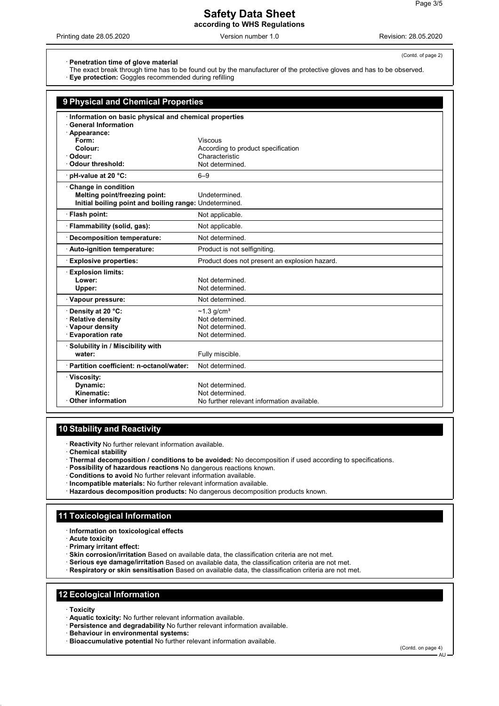Printing date 28.05.2020 Version number 1.0 Revision: 28.05.2020

(Contd. of page 2)

· **Penetration time of glove material**

- The exact break through time has to be found out by the manufacturer of the protective gloves and has to be observed.
- · **Eye protection:** Goggles recommended during refilling

| 9 Physical and Chemical Properties<br>Information on basic physical and chemical properties<br><b>General Information</b><br>· Appearance:<br>Form:<br>Viscous<br>Colour:<br>According to product specification<br>Characteristic<br>Odour:<br>Odour threshold:<br>Not determined.<br>pH-value at 20 °C:<br>$6 - 9$<br>Change in condition<br>Melting point/freezing point:<br>Undetermined<br>Initial boiling point and boiling range: Undetermined.<br>· Flash point:<br>Not applicable.<br>· Flammability (solid, gas):<br>Not applicable.<br>Not determined.<br><b>Decomposition temperature:</b><br>Product is not selfigniting<br>Auto-ignition temperature:<br><b>Explosive properties:</b><br>Product does not present an explosion hazard.<br><b>Explosion limits:</b><br>Lower:<br>Not determined.<br>Not determined<br>Upper:<br>Vapour pressure:<br>Not determined.<br>Density at 20 °C:<br>$~1.3$ g/cm <sup>3</sup><br><b>Relative density</b><br>Not determined.<br>· Vapour density<br>Not determined.<br><b>Evaporation rate</b><br>Not determined.<br>· Solubility in / Miscibility with<br>water:<br>Fully miscible.<br>· Partition coefficient: n-octanol/water:<br>Not determined.<br>· Viscosity:<br>Dynamic:<br>Not determined.<br>Kinematic:<br>Not determined<br><b>Other information</b><br>No further relevant information available. |  |  |  |
|-----------------------------------------------------------------------------------------------------------------------------------------------------------------------------------------------------------------------------------------------------------------------------------------------------------------------------------------------------------------------------------------------------------------------------------------------------------------------------------------------------------------------------------------------------------------------------------------------------------------------------------------------------------------------------------------------------------------------------------------------------------------------------------------------------------------------------------------------------------------------------------------------------------------------------------------------------------------------------------------------------------------------------------------------------------------------------------------------------------------------------------------------------------------------------------------------------------------------------------------------------------------------------------------------------------------------------------------------------------------|--|--|--|
|                                                                                                                                                                                                                                                                                                                                                                                                                                                                                                                                                                                                                                                                                                                                                                                                                                                                                                                                                                                                                                                                                                                                                                                                                                                                                                                                                                 |  |  |  |
|                                                                                                                                                                                                                                                                                                                                                                                                                                                                                                                                                                                                                                                                                                                                                                                                                                                                                                                                                                                                                                                                                                                                                                                                                                                                                                                                                                 |  |  |  |
|                                                                                                                                                                                                                                                                                                                                                                                                                                                                                                                                                                                                                                                                                                                                                                                                                                                                                                                                                                                                                                                                                                                                                                                                                                                                                                                                                                 |  |  |  |
|                                                                                                                                                                                                                                                                                                                                                                                                                                                                                                                                                                                                                                                                                                                                                                                                                                                                                                                                                                                                                                                                                                                                                                                                                                                                                                                                                                 |  |  |  |
|                                                                                                                                                                                                                                                                                                                                                                                                                                                                                                                                                                                                                                                                                                                                                                                                                                                                                                                                                                                                                                                                                                                                                                                                                                                                                                                                                                 |  |  |  |
|                                                                                                                                                                                                                                                                                                                                                                                                                                                                                                                                                                                                                                                                                                                                                                                                                                                                                                                                                                                                                                                                                                                                                                                                                                                                                                                                                                 |  |  |  |
|                                                                                                                                                                                                                                                                                                                                                                                                                                                                                                                                                                                                                                                                                                                                                                                                                                                                                                                                                                                                                                                                                                                                                                                                                                                                                                                                                                 |  |  |  |
|                                                                                                                                                                                                                                                                                                                                                                                                                                                                                                                                                                                                                                                                                                                                                                                                                                                                                                                                                                                                                                                                                                                                                                                                                                                                                                                                                                 |  |  |  |
|                                                                                                                                                                                                                                                                                                                                                                                                                                                                                                                                                                                                                                                                                                                                                                                                                                                                                                                                                                                                                                                                                                                                                                                                                                                                                                                                                                 |  |  |  |
|                                                                                                                                                                                                                                                                                                                                                                                                                                                                                                                                                                                                                                                                                                                                                                                                                                                                                                                                                                                                                                                                                                                                                                                                                                                                                                                                                                 |  |  |  |
|                                                                                                                                                                                                                                                                                                                                                                                                                                                                                                                                                                                                                                                                                                                                                                                                                                                                                                                                                                                                                                                                                                                                                                                                                                                                                                                                                                 |  |  |  |
|                                                                                                                                                                                                                                                                                                                                                                                                                                                                                                                                                                                                                                                                                                                                                                                                                                                                                                                                                                                                                                                                                                                                                                                                                                                                                                                                                                 |  |  |  |
|                                                                                                                                                                                                                                                                                                                                                                                                                                                                                                                                                                                                                                                                                                                                                                                                                                                                                                                                                                                                                                                                                                                                                                                                                                                                                                                                                                 |  |  |  |
|                                                                                                                                                                                                                                                                                                                                                                                                                                                                                                                                                                                                                                                                                                                                                                                                                                                                                                                                                                                                                                                                                                                                                                                                                                                                                                                                                                 |  |  |  |
|                                                                                                                                                                                                                                                                                                                                                                                                                                                                                                                                                                                                                                                                                                                                                                                                                                                                                                                                                                                                                                                                                                                                                                                                                                                                                                                                                                 |  |  |  |
|                                                                                                                                                                                                                                                                                                                                                                                                                                                                                                                                                                                                                                                                                                                                                                                                                                                                                                                                                                                                                                                                                                                                                                                                                                                                                                                                                                 |  |  |  |
|                                                                                                                                                                                                                                                                                                                                                                                                                                                                                                                                                                                                                                                                                                                                                                                                                                                                                                                                                                                                                                                                                                                                                                                                                                                                                                                                                                 |  |  |  |
|                                                                                                                                                                                                                                                                                                                                                                                                                                                                                                                                                                                                                                                                                                                                                                                                                                                                                                                                                                                                                                                                                                                                                                                                                                                                                                                                                                 |  |  |  |
|                                                                                                                                                                                                                                                                                                                                                                                                                                                                                                                                                                                                                                                                                                                                                                                                                                                                                                                                                                                                                                                                                                                                                                                                                                                                                                                                                                 |  |  |  |
|                                                                                                                                                                                                                                                                                                                                                                                                                                                                                                                                                                                                                                                                                                                                                                                                                                                                                                                                                                                                                                                                                                                                                                                                                                                                                                                                                                 |  |  |  |
|                                                                                                                                                                                                                                                                                                                                                                                                                                                                                                                                                                                                                                                                                                                                                                                                                                                                                                                                                                                                                                                                                                                                                                                                                                                                                                                                                                 |  |  |  |
|                                                                                                                                                                                                                                                                                                                                                                                                                                                                                                                                                                                                                                                                                                                                                                                                                                                                                                                                                                                                                                                                                                                                                                                                                                                                                                                                                                 |  |  |  |
|                                                                                                                                                                                                                                                                                                                                                                                                                                                                                                                                                                                                                                                                                                                                                                                                                                                                                                                                                                                                                                                                                                                                                                                                                                                                                                                                                                 |  |  |  |
|                                                                                                                                                                                                                                                                                                                                                                                                                                                                                                                                                                                                                                                                                                                                                                                                                                                                                                                                                                                                                                                                                                                                                                                                                                                                                                                                                                 |  |  |  |
|                                                                                                                                                                                                                                                                                                                                                                                                                                                                                                                                                                                                                                                                                                                                                                                                                                                                                                                                                                                                                                                                                                                                                                                                                                                                                                                                                                 |  |  |  |
|                                                                                                                                                                                                                                                                                                                                                                                                                                                                                                                                                                                                                                                                                                                                                                                                                                                                                                                                                                                                                                                                                                                                                                                                                                                                                                                                                                 |  |  |  |
|                                                                                                                                                                                                                                                                                                                                                                                                                                                                                                                                                                                                                                                                                                                                                                                                                                                                                                                                                                                                                                                                                                                                                                                                                                                                                                                                                                 |  |  |  |
|                                                                                                                                                                                                                                                                                                                                                                                                                                                                                                                                                                                                                                                                                                                                                                                                                                                                                                                                                                                                                                                                                                                                                                                                                                                                                                                                                                 |  |  |  |
|                                                                                                                                                                                                                                                                                                                                                                                                                                                                                                                                                                                                                                                                                                                                                                                                                                                                                                                                                                                                                                                                                                                                                                                                                                                                                                                                                                 |  |  |  |
|                                                                                                                                                                                                                                                                                                                                                                                                                                                                                                                                                                                                                                                                                                                                                                                                                                                                                                                                                                                                                                                                                                                                                                                                                                                                                                                                                                 |  |  |  |
|                                                                                                                                                                                                                                                                                                                                                                                                                                                                                                                                                                                                                                                                                                                                                                                                                                                                                                                                                                                                                                                                                                                                                                                                                                                                                                                                                                 |  |  |  |
|                                                                                                                                                                                                                                                                                                                                                                                                                                                                                                                                                                                                                                                                                                                                                                                                                                                                                                                                                                                                                                                                                                                                                                                                                                                                                                                                                                 |  |  |  |

# **10 Stability and Reactivity**

· **Reactivity** No further relevant information available.

· **Chemical stability**

- · **Thermal decomposition / conditions to be avoided:** No decomposition if used according to specifications.
- · **Possibility of hazardous reactions** No dangerous reactions known.
- · **Conditions to avoid** No further relevant information available.
- · **Incompatible materials:** No further relevant information available.
- · **Hazardous decomposition products:** No dangerous decomposition products known.

# **11 Toxicological Information**

- · **Information on toxicological effects**
- · **Acute toxicity**
- · **Primary irritant effect:**
- · **Skin corrosion/irritation** Based on available data, the classification criteria are not met.
- · **Serious eye damage/irritation** Based on available data, the classification criteria are not met.
- · **Respiratory or skin sensitisation** Based on available data, the classification criteria are not met.

# **12 Ecological Information**

- · **Toxicity**
- · **Aquatic toxicity:** No further relevant information available.
- · **Persistence and degradability** No further relevant information available.
- · **Behaviour in environmental systems:**
- · **Bioaccumulative potential** No further relevant information available.

(Contd. on page 4)

AU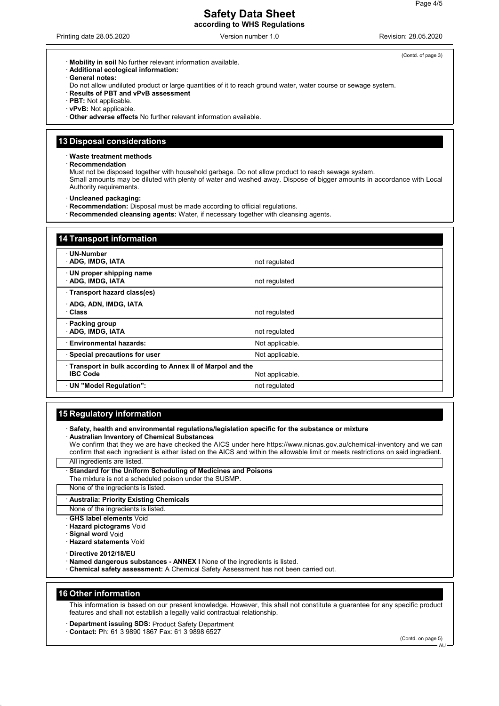Printing date 28.05.2020 Version number 1.0 Revision: 28.05.2020

- · **Mobility in soil** No further relevant information available.
- · **Additional ecological information:**
- General notes:
- Do not allow undiluted product or large quantities of it to reach ground water, water course or sewage system.
- · **Results of PBT and vPvB assessment**
- · **PBT:** Not applicable.
- · **vPvB:** Not applicable.
- · **Other adverse effects** No further relevant information available.

## **13 Disposal considerations**

· **Waste treatment methods**

#### · **Recommendation**

Must not be disposed together with household garbage. Do not allow product to reach sewage system. Small amounts may be diluted with plenty of water and washed away. Dispose of bigger amounts in accordance with Local Authority requirements.

- · **Uncleaned packaging:**
- · **Recommendation:** Disposal must be made according to official regulations.
- · **Recommended cleansing agents:** Water, if necessary together with cleansing agents.

| <b>14 Transport information</b>                                                                 |                 |  |
|-------------------------------------------------------------------------------------------------|-----------------|--|
| · UN-Number<br>· ADG, IMDG, IATA                                                                | not regulated   |  |
| UN proper shipping name<br>ADG, IMDG, IATA                                                      | not regulated   |  |
| Transport hazard class(es)                                                                      |                 |  |
| ADG, ADN, IMDG, IATA<br>· Class                                                                 | not regulated   |  |
| · Packing group<br>ADG, IMDG, IATA                                                              | not regulated   |  |
| <b>Environmental hazards:</b>                                                                   | Not applicable. |  |
| · Special precautions for user                                                                  | Not applicable. |  |
| Transport in bulk according to Annex II of Marpol and the<br><b>IBC Code</b><br>Not applicable. |                 |  |
| UN "Model Regulation":                                                                          | not regulated   |  |

# **15 Regulatory information**

· **Safety, health and environmental regulations/legislation specific for the substance or mixture** · **Australian Inventory of Chemical Substances**

We confirm that they we are have checked the AICS under here https://www.nicnas.gov.au/chemical-inventory and we can confirm that each ingredient is either listed on the AICS and within the allowable limit or meets restrictions on said ingredient.

All ingredients are listed.

**Standard for the Uniform Scheduling of Medicines and Poisons** The mixture is not a scheduled poison under the SUSMP.

None of the ingredients is listed.

· **Australia: Priority Existing Chemicals**

- None of the ingredients is listed.
- **GHS label elements** Void
- · **Hazard pictograms** Void
- · **Signal word** Void
- · **Hazard statements** Void
- · **Directive 2012/18/EU**
- · **Named dangerous substances ANNEX I** None of the ingredients is listed.
- · **Chemical safety assessment:** A Chemical Safety Assessment has not been carried out.

## **16 Other information**

This information is based on our present knowledge. However, this shall not constitute a guarantee for any specific product features and shall not establish a legally valid contractual relationship.

- · **Department issuing SDS:** Product Safety Department
- · **Contact:** Ph: 61 3 9890 1867 Fax: 61 3 9898 6527

(Contd. on page 5) AU